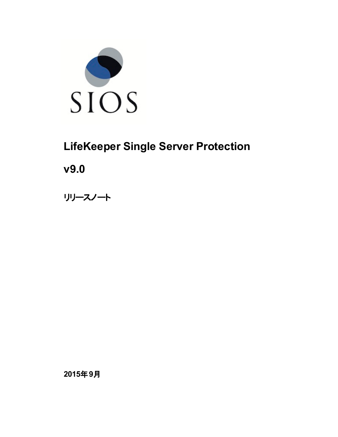

# **LifeKeeper Single Server Protection**

**v9.0**

リリースノート

**2015**年**9**月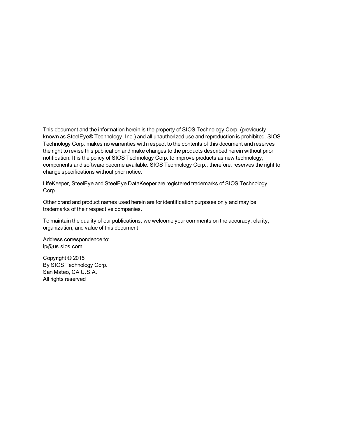This document and the information herein is the property of SIOS Technology Corp. (previously known as SteelEye® Technology, Inc.) and all unauthorized use and reproduction is prohibited. SIOS Technology Corp. makes no warranties with respect to the contents of this document and reserves the right to revise this publication and make changes to the products described herein without prior notification. It is the policy of SIOS Technology Corp. to improve products as new technology, components and software become available. SIOS Technology Corp., therefore, reserves the right to change specifications without prior notice.

LifeKeeper, SteelEye and SteelEye DataKeeper are registered trademarks of SIOS Technology Corp.

Other brand and product names used herein are for identification purposes only and may be trademarks of their respective companies.

To maintain the quality of our publications, we welcome your comments on the accuracy, clarity, organization, and value of this document.

Address correspondence to: ip@us.sios.com

Copyright © 2015 By SIOS Technology Corp. San Mateo, CA U.S.A. All rights reserved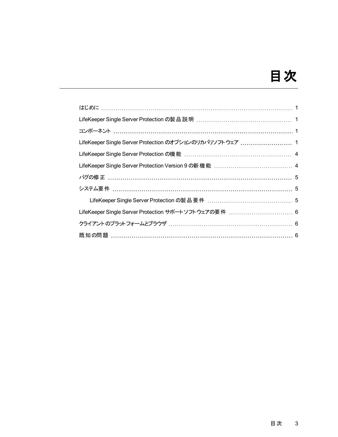# 目次

| LifeKeeper Single Server Protection のオプションのリカバリソフトウェア  1 |  |
|----------------------------------------------------------|--|
|                                                          |  |
|                                                          |  |
|                                                          |  |
|                                                          |  |
|                                                          |  |
| LifeKeeper Single Server Protection サポートソフトウェアの要件  6     |  |
|                                                          |  |
| 既知の問題 …………………………………………………………………………………… 6                 |  |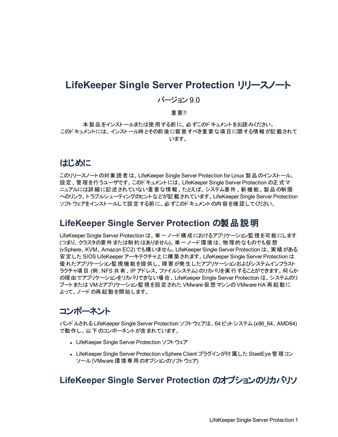#### **LifeKeeper Single Server Protection** リリースノート

#### バージョン 9.0

#### 重要!!

本製品をインストールまたは使用する前に、必ずこのドキュメントをお読みください。 このドキュメントには、インストール時とその前後に留意すべき重要な項目に関する情報が記載されて います。

#### <span id="page-3-0"></span>はじめに

このリリースノートの対象読者は、LifeKeeper Single Server Protection for Linux 製品のインストール、 設定、管理を行うユーザです。このドキュメントには、LifeKeeper Single Server Protection の正式マ ニュアルには詳細に記述されていない重要な情報、たとえば、システム要件、新機能、製品の制限 へのリンク、トラブルシューティングのヒントなどが記載されています。LifeKeeper Single Server Protection ソフトウェアをインストールして設定する前に、必ずこのドキュメントの内容を確認してください。

#### <span id="page-3-1"></span>**LifeKeeper Single Server Protection** の製品説明

LifeKeeper Single Server Protection は、単一ノード構成におけるアプリケーション監視を可能にします (つまり、クラスタの要件または制約はありません)。単一ノード環境は、物理的なものでも仮想 (vSphere、KVM、Amazon EC2) でも構いません。LifeKeeper Single Server Protection は、実績がある 安定した SIOS LifeKeeper アーキテクチャ上に構築されます。LifeKeeper Single Server Protection は 優れたアプリケーション監視機能を提供し、障害が発生したアプリケーションおよびシステムインフラスト ラクチャ項目 (例: NFS 共有、IP アドレス、ファイルシステム) のリカバリを実行することができます。何らか の理由でアプリケーションをリカバリできない場合、LifeKeeper Single Server Protection は、システムのリ ブートまたは VM とアプリケーション監視を設定された VMware 仮想マシンのVMware HA 再起動に よって、ノードの再起動を開始します。

#### <span id="page-3-2"></span>コンポーネント

バンドルされる LifeKeeper Single Server Protection ソフトウェアは、64 ビットシステム(x86\_64、AMD64) で動作し、以下のコンポーネントが含まれています。

- LifeKeeper Single Server Protection ソフトウェア
- <sup>l</sup> LifeKeeper Single Server Protection vSphere Client プラグインが付属した SteelEye 管理コン ソール(VMware 環境専用のオプションのソフトウェア)

#### <span id="page-3-3"></span>**LifeKeeper Single Server Protection** のオプションのリカバリソ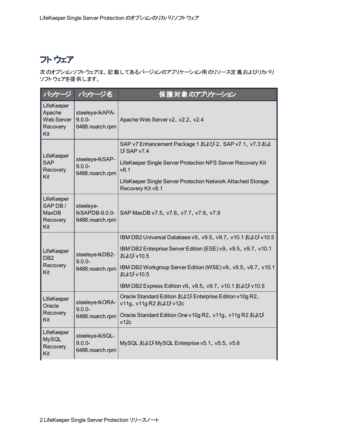## フトウェア

次のオプションソフトウェアは、記載してあるバージョンのアプリケーション用のリソース定義およびリカバリ ソフトウェアを提供します。

| バッケージ                                                                                                                                                                                             | パッケージ名                                          | 保護対象のアプリケーション                                                                                                                                                                                                                                                              |  |
|---------------------------------------------------------------------------------------------------------------------------------------------------------------------------------------------------|-------------------------------------------------|----------------------------------------------------------------------------------------------------------------------------------------------------------------------------------------------------------------------------------------------------------------------------|--|
| LifeKeeper<br>Apache<br><b>Web Server</b><br>Recovery<br>Kit                                                                                                                                      | steeleye-lkAPA-<br>$9.0.0 -$<br>6488.noarch.rpm | Apache Web Server v2, v2.2, v2.4                                                                                                                                                                                                                                           |  |
| LifeKeeper<br><b>SAP</b><br>Recovery<br>Kit                                                                                                                                                       | steeleye-lkSAP-<br>$9.0.0 -$<br>6488.noarch.rpm | SAP v7 Enhancement Package 1 および 2、SAP v7.1、 v7.3 およ<br>び SAP v7.4<br>LifeKeeper Single Server Protection NFS Server Recovery Kit<br>v8.1<br>LifeKeeper Single Server Protection Network Attached Storage<br>Recovery Kit v8.1<br>SAP MaxDB v7.5, v7.6, v7.7, v7.8, v7.9   |  |
| LifeKeeper<br>SAP DB/<br><b>MaxDB</b><br>Recovery<br>Kit                                                                                                                                          | steeleye-<br>IkSAPDB-9.0.0-<br>6488.noarch.rpm  |                                                                                                                                                                                                                                                                            |  |
| LifeKeeper<br>steeleye-lkDB2-<br>DB <sub>2</sub><br>$9.0.0 -$<br>Recovery<br>6488.noarch.rpm<br>Kit<br>LifeKeeper<br>steeleye-lkORA-<br>Oracle<br>$9.0.0 -$<br>Recovery<br>6488.noarch.rpm<br>Kit |                                                 | IBM DB2 Universal Database v9、v9.5、v9.7、v10.1 および v10.5<br>IBM DB2 Enterprise Server Edition (ESE) v9, v9.5, v9.7, v10.1<br>および v10.5<br>IBM DB2 Workgroup Server Edition (WSE) v9, v9.5, v9.7, v10.1<br>および v10.5<br>IBM DB2 Express Edition v9、v9.5、v9.7、v10.1 および v10.5 |  |
|                                                                                                                                                                                                   |                                                 | Oracle Standard Edition および Enterprise Edition v10g R2、<br>v11g、v11g R2 および v12c<br>Oracle Standard Edition One v10g R2、v11g、v11g R2 および<br>v12c                                                                                                                           |  |
| LifeKeeper<br><b>MySQL</b><br>Recovery<br>Kit                                                                                                                                                     | steeleye-lkSQL-<br>$9.0.0 -$<br>6488.noarch.rpm | MySQL および MySQL Enterprise v5.1、v5.5、v5.6                                                                                                                                                                                                                                  |  |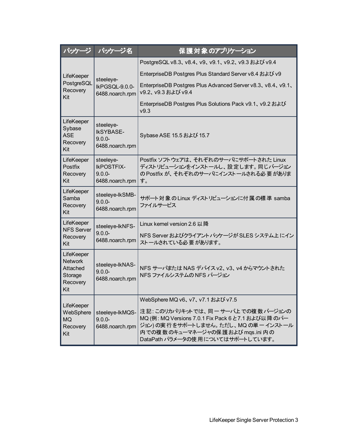| パッケージ                                                                  | パッケージ名                                                         | 保護対象のアプリケーション                                                                                                                                                                                                                       |  |
|------------------------------------------------------------------------|----------------------------------------------------------------|-------------------------------------------------------------------------------------------------------------------------------------------------------------------------------------------------------------------------------------|--|
|                                                                        | steeleye-<br>IkPGSQL-9.0.0-<br>6488.noarch.rpm                 | PostgreSQL v8.3、v8.4、v9、v9.1、v9.2、v9.3 および v9.4                                                                                                                                                                                     |  |
| LifeKeeper<br>PostgreSQL<br>Recovery<br>Kit                            |                                                                | EnterpriseDB Postgres Plus Standard Server v8.4 および v9                                                                                                                                                                              |  |
|                                                                        |                                                                | EnterpriseDB Postgres Plus Advanced Server v8.3, v8.4, v9.1,<br>v9.2、v9.3 および v9.4                                                                                                                                                  |  |
|                                                                        |                                                                | EnterpriseDB Postgres Plus Solutions Pack v9.1、v9.2 および<br>v9.3                                                                                                                                                                     |  |
| LifeKeeper<br>Sybase<br><b>ASE</b><br>Recovery<br>Kit                  | steeleye-<br><b>IkSYBASE-</b><br>$9.0.0 -$<br>6488.noarch.rpm  | Sybase ASE 15.5 および 15.7                                                                                                                                                                                                            |  |
| LifeKeeper<br>Postfix<br>Recovery<br>Kit                               | steeleye-<br><b>IKPOSTFIX-</b><br>$9.0.0 -$<br>6488.noarch.rpm | Postfix ソフトウェアは、それぞれのサーバにサポートされた Linux<br>ディストリビューションをインストールし、設定します。同じバージョン<br>の Postfix が、それぞれのサーバにインストールされる必要がありま<br>す。                                                                                                           |  |
| LifeKeeper<br>Samba<br>Recovery<br>Kit                                 | steeleye-lkSMB-<br>$9.0.0 -$<br>6488.noarch.rpm                | サポート対象のLinux ディストリビューションに付属の標準 samba<br>ファイルサービス                                                                                                                                                                                    |  |
| LifeKeeper<br><b>NFS Server</b><br>Recovery<br>Kit                     | steeleye-lkNFS-<br>$9.0.0 -$<br>6488.noarch.rpm                | Linux kernel version 2.6 以降<br>NFS Server およびクライアント パッケージが SLES システム上 にイン<br>ストールされている必要があります。                                                                                                                                      |  |
| LifeKeeper<br><b>Network</b><br>Attached<br>Storage<br>Recovery<br>Kit | steeleye-IkNAS-<br>$9.0.0 -$<br>6488.noarch.rpm                | NFS サーバまたは NAS デバイス v2、v3、v4 からマウントされた<br>NFS ファイルシステムの NFS バージョン                                                                                                                                                                   |  |
| LifeKeeper<br>WebSphere<br><b>MQ</b><br>Recovery<br>Kit                | steeleye-lkMQS-<br>$9.0.0 -$<br>6488.noarch.rpm                | WebSphere MQ v6、v7、v7.1 および v7.5<br>注記:このリカバリキットでは、同一サーバ上での複数バージョンの<br>MQ (例: MQ Versions 7.0.1 Fix Pack 6 と7.1 および以降のバー<br>ジョン)の実行をサポートしません。ただし、MQの単一インストール<br>内での複数のキューマネージャの保護および mgs.ini 内の<br>DataPath パラメータの使用についてはサポートしています。 |  |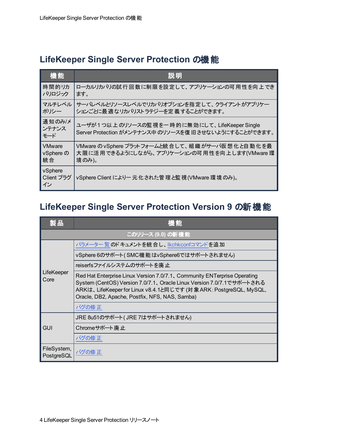#### <span id="page-6-0"></span>**LifeKeeper Single Server Protection** の機能

| 機能                          | 説明                                                                                                         |
|-----------------------------|------------------------------------------------------------------------------------------------------------|
| 時間的リカ                       | ローカルリカバリの試行回数に制限を設定して、アプリケーションの可用性を向上でき                                                                    |
| バリロジック                      | ます。                                                                                                        |
| マルチレベル                      | サーバレベルとリソースレベルでリカバリオプションを指定して、クライアントがアプリケー                                                                 |
| ポリシー                        | ションごとに最適なリカバリストラテジーを定義することができます。                                                                           |
| 通知のみ/メ<br>ンテナンス<br>モード      | ユーザが1つ以上 のリソースの監 視を一 時 的に無 効 にして、 LifeKeeper Single<br>Server Protection がメンテナンス中のリソースを復旧させないようにすることができます。 |
| <b>VMware</b>               | VMware の vSphere プラットフォームと統合して、組織がサーバ仮想化と自動化を最                                                             |
| vSphere の                   | 大限に活用できるようにしながら、アプリケーションの可用性を向上します(VMware 環                                                                |
| 統合                          | 境のみ)。                                                                                                      |
| vSphere<br>Client プラグ<br>イン | vSphere Client により一元化された管理と監視(VMware 環境のみ)。                                                                |

## <span id="page-6-1"></span>**LifeKeeper Single Server Protection Version 9** の新機能

| 製品                        | 機能                                                                                                                                                                                                                                                                       |  |  |
|---------------------------|--------------------------------------------------------------------------------------------------------------------------------------------------------------------------------------------------------------------------------------------------------------------------|--|--|
|                           | このリリース (9.0) の新機能                                                                                                                                                                                                                                                        |  |  |
|                           | パラメーター 覧 のドキュメントを統合し、Ikchkconfコマンドを追加                                                                                                                                                                                                                                    |  |  |
|                           | vSphere 6のサポート(SMC機能はvSphere6ではサポートされません)                                                                                                                                                                                                                                |  |  |
|                           | reiserfsファイルシステムのサポートを廃止                                                                                                                                                                                                                                                 |  |  |
| LifeKeeper<br>Core        | Red Hat Enterprise Linux Version 7.0/7.1, Community ENTerprise Operating<br>System (CentOS) Version 7.0/7.1、 Oracle Linux Version 7.0/7.1でサポートされる<br>ARKは、LifeKeeper for Linux v8.4.1と同じです (対象 ARK: PostgreSQL, MySQL,<br>Oracle, DB2, Apache, Postfix, NFS, NAS, Samba) |  |  |
|                           | バグの修正                                                                                                                                                                                                                                                                    |  |  |
|                           | JRE 8u51のサポート(JRE 7はサポートされません)                                                                                                                                                                                                                                           |  |  |
| <b>GUI</b>                | Chromeサポート廃止                                                                                                                                                                                                                                                             |  |  |
|                           | バグの修 正                                                                                                                                                                                                                                                                   |  |  |
| FileSystem,<br>PostgreSQL | バグの修 正                                                                                                                                                                                                                                                                   |  |  |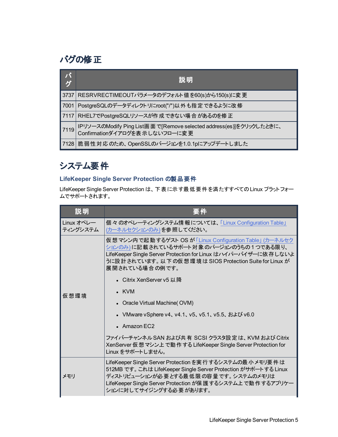## <span id="page-7-0"></span>バグの修正

| バ<br>グ | 説明                                                                                                    |
|--------|-------------------------------------------------------------------------------------------------------|
| 3737   | RESRVRECTIMEOUTパラメータのデフォルト値を60(s)から150(s)に変更                                                          |
| 7001   | PostgreSQLのデータディレクトリにroot("/")以外も指定できるように改修                                                           |
| 7117   | RHEL7でPostgreSQLリソースが作成できない場合があるのを修正                                                                  |
| 7119   | IPリソースのModify Ping List画面で[Remove selected address(es)]をクリックしたときに、<br>  Confirmationダイアログを表示しないフローに変更 |
|        | 7128   脆弱性対応のため、OpenSSLのバージョンを1.0.1pにアップデートしました                                                       |

# <span id="page-7-1"></span>システム要件

#### <span id="page-7-2"></span>**LifeKeeper Single Server Protection** の製品要件

LifeKeeper Single Server Protection は、下表に示す最低要件を満たすすべてのLinux プラットフォー ムでサポートされます。

| 説明                     | 要件                                                                                                                                                                                                                                                          |  |
|------------------------|-------------------------------------------------------------------------------------------------------------------------------------------------------------------------------------------------------------------------------------------------------------|--|
| Linux オペレー<br>ティングシステム | 個々のオペレーティングシステム情報については、「Linux Configuration Table」<br>(カーネルセクションのみ)を参照してください。                                                                                                                                                                               |  |
|                        | 仮想マシン内で起動するゲスト OS が 「Linux Configuration Table」 (カーネルセク<br>ションのみ)に記載されているサポート対象のバージョンのうちの1つである限り、<br>LifeKeeper Single Server Protection for Linux はハイパーバイザーに依存しないよ<br>うに設計されています。 以下の仮想環境は SIOS Protection Suite for Linux が<br>展開されている場合の例です。             |  |
|                        | • Citrix XenServer v5 以降                                                                                                                                                                                                                                    |  |
| 仮想環境                   | $\cdot$ KVM                                                                                                                                                                                                                                                 |  |
|                        | • Oracle Virtual Machine(OVM)                                                                                                                                                                                                                               |  |
|                        | • VMware vSphere v4、v4.1、v5、v5.1、v5.5、および v6.0                                                                                                                                                                                                              |  |
|                        | $\bullet$ Amazon EC2                                                                                                                                                                                                                                        |  |
|                        | ファイバーチャンネル SAN および共 有 SCSI クラスタ設 定 は、 KVM および Citrix<br>XenServer 仮想 マシン上で動作する LifeKeeper Single Server Protection for<br>Linux をサポートしません。                                                                                                                  |  |
| メモリ                    | LifeKeeper Single Server Protection を実行するシステムの最小 メモリ要件は<br>512MB です。これは LifeKeeper Single Server Protection がサポートする Linux<br>ディストリビューションが必要とする最低限の容量です。システムのメモリは<br>LifeKeeper Single Server Protection が保 護 するシステム上 で動作 するアプリケー<br>ションに対してサイジングする必要 があります。 |  |